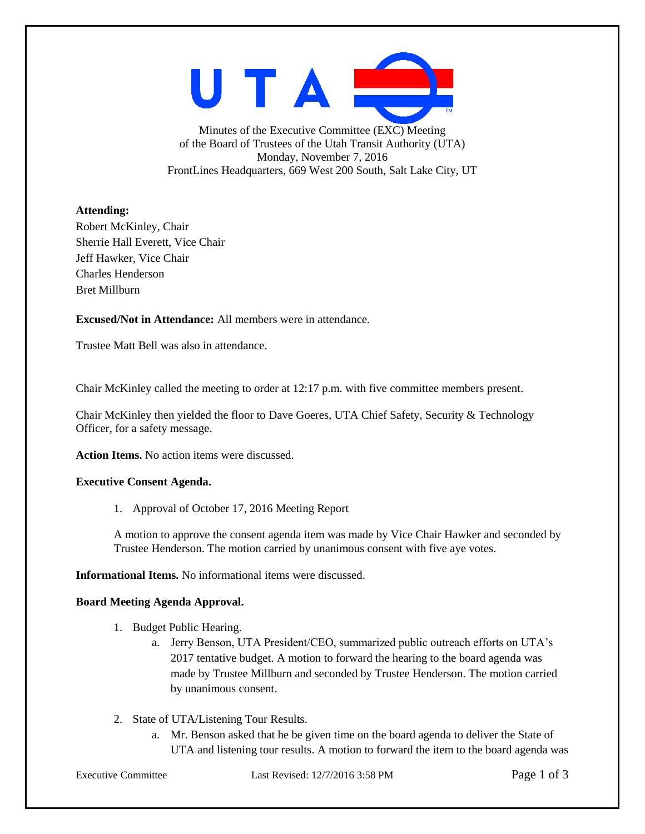UTAE Minutes of the Executive Committee (EXC) Meeting of the Board of Trustees of the Utah Transit Authority (UTA) Monday, November 7, 2016 FrontLines Headquarters, 669 West 200 South, Salt Lake City, UT

## **Attending:**

Robert McKinley, Chair Sherrie Hall Everett, Vice Chair Jeff Hawker, Vice Chair Charles Henderson Bret Millburn

**Excused/Not in Attendance:** All members were in attendance.

Trustee Matt Bell was also in attendance.

Chair McKinley called the meeting to order at 12:17 p.m. with five committee members present.

Chair McKinley then yielded the floor to Dave Goeres, UTA Chief Safety, Security & Technology Officer, for a safety message.

**Action Items.** No action items were discussed.

## **Executive Consent Agenda.**

1. Approval of October 17, 2016 Meeting Report

A motion to approve the consent agenda item was made by Vice Chair Hawker and seconded by Trustee Henderson. The motion carried by unanimous consent with five aye votes.

**Informational Items.** No informational items were discussed.

## **Board Meeting Agenda Approval.**

- 1. Budget Public Hearing.
	- a. Jerry Benson, UTA President/CEO, summarized public outreach efforts on UTA's 2017 tentative budget. A motion to forward the hearing to the board agenda was made by Trustee Millburn and seconded by Trustee Henderson. The motion carried by unanimous consent.
- 2. State of UTA/Listening Tour Results.
	- a. Mr. Benson asked that he be given time on the board agenda to deliver the State of UTA and listening tour results. A motion to forward the item to the board agenda was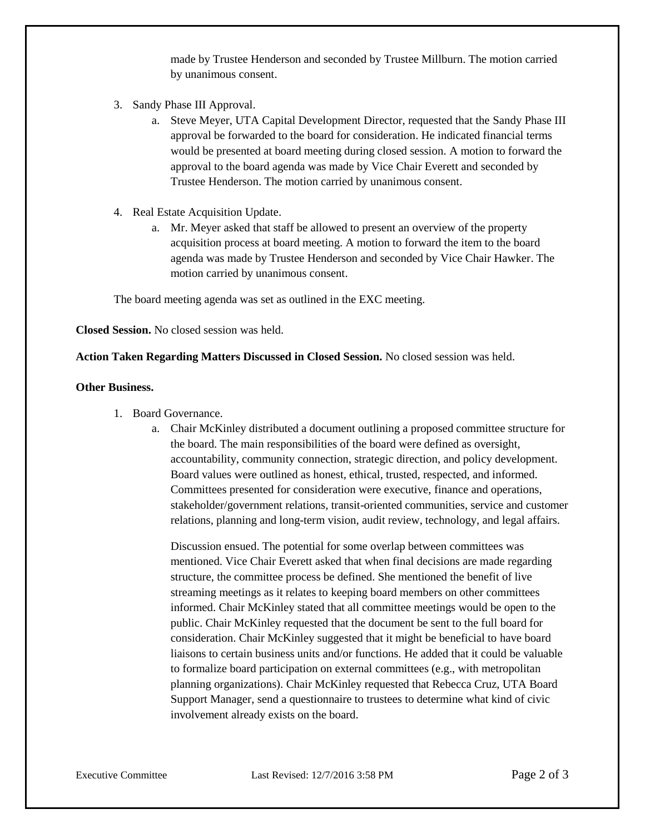made by Trustee Henderson and seconded by Trustee Millburn. The motion carried by unanimous consent.

- 3. Sandy Phase III Approval.
	- a. Steve Meyer, UTA Capital Development Director, requested that the Sandy Phase III approval be forwarded to the board for consideration. He indicated financial terms would be presented at board meeting during closed session. A motion to forward the approval to the board agenda was made by Vice Chair Everett and seconded by Trustee Henderson. The motion carried by unanimous consent.
- 4. Real Estate Acquisition Update.
	- a. Mr. Meyer asked that staff be allowed to present an overview of the property acquisition process at board meeting. A motion to forward the item to the board agenda was made by Trustee Henderson and seconded by Vice Chair Hawker. The motion carried by unanimous consent.

The board meeting agenda was set as outlined in the EXC meeting.

**Closed Session.** No closed session was held.

**Action Taken Regarding Matters Discussed in Closed Session.** No closed session was held.

## **Other Business.**

- 1. Board Governance.
	- a. Chair McKinley distributed a document outlining a proposed committee structure for the board. The main responsibilities of the board were defined as oversight, accountability, community connection, strategic direction, and policy development. Board values were outlined as honest, ethical, trusted, respected, and informed. Committees presented for consideration were executive, finance and operations, stakeholder/government relations, transit-oriented communities, service and customer relations, planning and long-term vision, audit review, technology, and legal affairs.

Discussion ensued. The potential for some overlap between committees was mentioned. Vice Chair Everett asked that when final decisions are made regarding structure, the committee process be defined. She mentioned the benefit of live streaming meetings as it relates to keeping board members on other committees informed. Chair McKinley stated that all committee meetings would be open to the public. Chair McKinley requested that the document be sent to the full board for consideration. Chair McKinley suggested that it might be beneficial to have board liaisons to certain business units and/or functions. He added that it could be valuable to formalize board participation on external committees (e.g., with metropolitan planning organizations). Chair McKinley requested that Rebecca Cruz, UTA Board Support Manager, send a questionnaire to trustees to determine what kind of civic involvement already exists on the board.